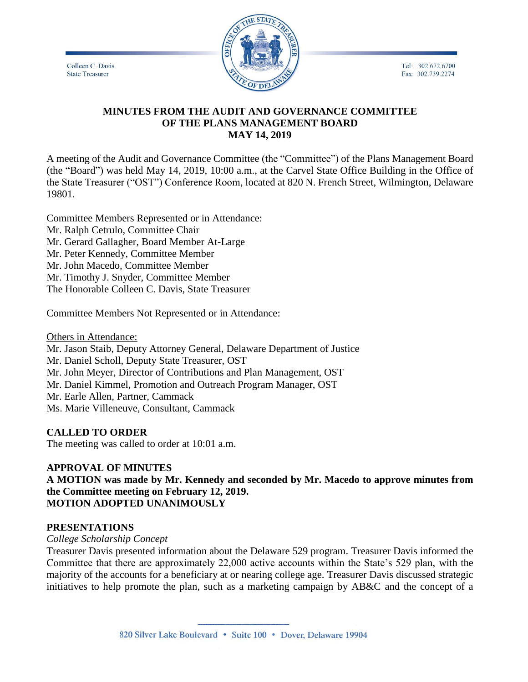Colleen C. Davis **State Treasurer** 



Tel: 302.672.6700 Fax: 302.739.2274

## **MINUTES FROM THE AUDIT AND GOVERNANCE COMMITTEE OF THE PLANS MANAGEMENT BOARD MAY 14, 2019**

A meeting of the Audit and Governance Committee (the "Committee") of the Plans Management Board (the "Board") was held May 14, 2019, 10:00 a.m., at the Carvel State Office Building in the Office of the State Treasurer ("OST") Conference Room, located at 820 N. French Street, Wilmington, Delaware 19801.

Committee Members Represented or in Attendance: Mr. Ralph Cetrulo, Committee Chair Mr. Gerard Gallagher, Board Member At-Large Mr. Peter Kennedy, Committee Member Mr. John Macedo, Committee Member Mr. Timothy J. Snyder, Committee Member The Honorable Colleen C. Davis, State Treasurer

Committee Members Not Represented or in Attendance:

Others in Attendance:

Mr. Jason Staib, Deputy Attorney General, Delaware Department of Justice Mr. Daniel Scholl, Deputy State Treasurer, OST Mr. John Meyer, Director of Contributions and Plan Management, OST Mr. Daniel Kimmel, Promotion and Outreach Program Manager, OST Mr. Earle Allen, Partner, Cammack

Ms. Marie Villeneuve, Consultant, Cammack

## **CALLED TO ORDER**

The meeting was called to order at 10:01 a.m.

## **APPROVAL OF MINUTES**

**A MOTION was made by Mr. Kennedy and seconded by Mr. Macedo to approve minutes from the Committee meeting on February 12, 2019. MOTION ADOPTED UNANIMOUSLY**

### **PRESENTATIONS**

### *College Scholarship Concept*

Treasurer Davis presented information about the Delaware 529 program. Treasurer Davis informed the Committee that there are approximately 22,000 active accounts within the State's 529 plan, with the majority of the accounts for a beneficiary at or nearing college age. Treasurer Davis discussed strategic initiatives to help promote the plan, such as a marketing campaign by AB&C and the concept of a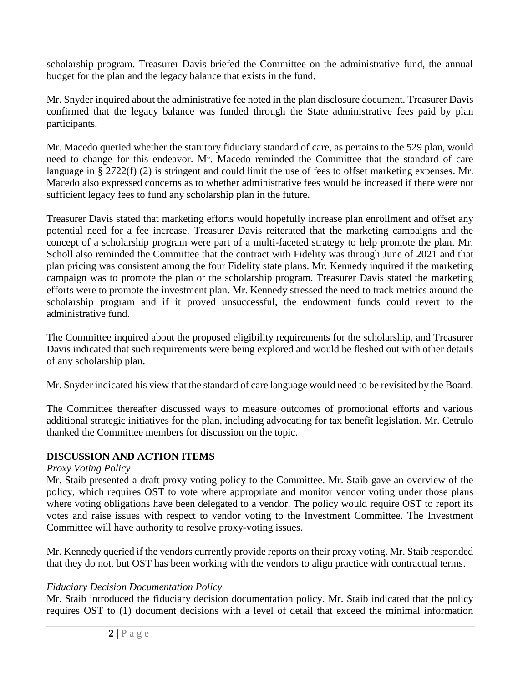scholarship program. Treasurer Davis briefed the Committee on the administrative fund, the annual budget for the plan and the legacy balance that exists in the fund.

Mr. Snyder inquired about the administrative fee noted in the plan disclosure document. Treasurer Davis confirmed that the legacy balance was funded through the State administrative fees paid by plan participants.

Mr. Macedo queried whether the statutory fiduciary standard of care, as pertains to the 529 plan, would need to change for this endeavor. Mr. Macedo reminded the Committee that the standard of care language in § 2722(f) (2) is stringent and could limit the use of fees to offset marketing expenses. Mr. Macedo also expressed concerns as to whether administrative fees would be increased if there were not sufficient legacy fees to fund any scholarship plan in the future.

Treasurer Davis stated that marketing efforts would hopefully increase plan enrollment and offset any potential need for a fee increase. Treasurer Davis reiterated that the marketing campaigns and the concept of a scholarship program were part of a multi-faceted strategy to help promote the plan. Mr. Scholl also reminded the Committee that the contract with Fidelity was through June of 2021 and that plan pricing was consistent among the four Fidelity state plans. Mr. Kennedy inquired if the marketing campaign was to promote the plan or the scholarship program. Treasurer Davis stated the marketing efforts were to promote the investment plan. Mr. Kennedy stressed the need to track metrics around the scholarship program and if it proved unsuccessful, the endowment funds could revert to the administrative fund.

The Committee inquired about the proposed eligibility requirements for the scholarship, and Treasurer Davis indicated that such requirements were being explored and would be fleshed out with other details of any scholarship plan.

Mr. Snyder indicated his view that the standard of care language would need to be revisited by the Board.

The Committee thereafter discussed ways to measure outcomes of promotional efforts and various additional strategic initiatives for the plan, including advocating for tax benefit legislation. Mr. Cetrulo thanked the Committee members for discussion on the topic.

# **DISCUSSION AND ACTION ITEMS**

# *Proxy Voting Policy*

Mr. Staib presented a draft proxy voting policy to the Committee. Mr. Staib gave an overview of the policy, which requires OST to vote where appropriate and monitor vendor voting under those plans where voting obligations have been delegated to a vendor. The policy would require OST to report its votes and raise issues with respect to vendor voting to the Investment Committee. The Investment Committee will have authority to resolve proxy-voting issues.

Mr. Kennedy queried if the vendors currently provide reports on their proxy voting. Mr. Staib responded that they do not, but OST has been working with the vendors to align practice with contractual terms.

# *Fiduciary Decision Documentation Policy*

Mr. Staib introduced the fiduciary decision documentation policy. Mr. Staib indicated that the policy requires OST to (1) document decisions with a level of detail that exceed the minimal information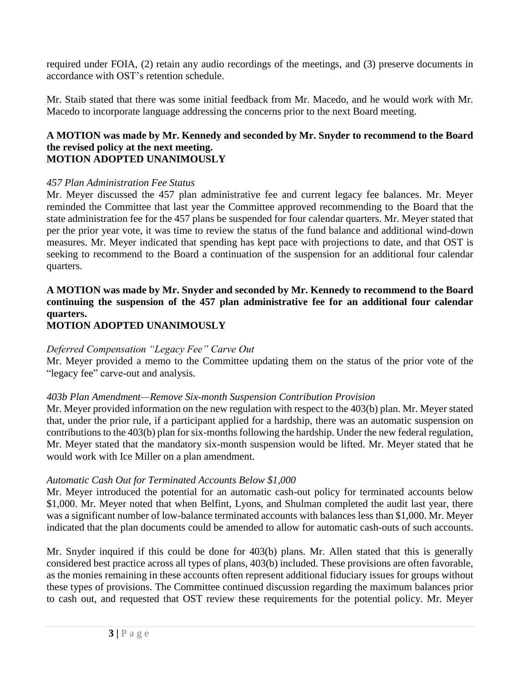required under FOIA, (2) retain any audio recordings of the meetings, and (3) preserve documents in accordance with OST's retention schedule.

Mr. Staib stated that there was some initial feedback from Mr. Macedo, and he would work with Mr. Macedo to incorporate language addressing the concerns prior to the next Board meeting.

### **A MOTION was made by Mr. Kennedy and seconded by Mr. Snyder to recommend to the Board the revised policy at the next meeting. MOTION ADOPTED UNANIMOUSLY**

## *457 Plan Administration Fee Status*

Mr. Meyer discussed the 457 plan administrative fee and current legacy fee balances. Mr. Meyer reminded the Committee that last year the Committee approved recommending to the Board that the state administration fee for the 457 plans be suspended for four calendar quarters. Mr. Meyer stated that per the prior year vote, it was time to review the status of the fund balance and additional wind-down measures. Mr. Meyer indicated that spending has kept pace with projections to date, and that OST is seeking to recommend to the Board a continuation of the suspension for an additional four calendar quarters.

# **A MOTION was made by Mr. Snyder and seconded by Mr. Kennedy to recommend to the Board continuing the suspension of the 457 plan administrative fee for an additional four calendar quarters.**

# **MOTION ADOPTED UNANIMOUSLY**

# *Deferred Compensation "Legacy Fee" Carve Out*

Mr. Meyer provided a memo to the Committee updating them on the status of the prior vote of the "legacy fee" carve-out and analysis.

## *403b Plan Amendment—Remove Six-month Suspension Contribution Provision*

Mr. Meyer provided information on the new regulation with respect to the 403(b) plan. Mr. Meyer stated that, under the prior rule, if a participant applied for a hardship, there was an automatic suspension on contributions to the 403(b) plan for six-months following the hardship. Under the new federal regulation, Mr. Meyer stated that the mandatory six-month suspension would be lifted. Mr. Meyer stated that he would work with Ice Miller on a plan amendment.

# *Automatic Cash Out for Terminated Accounts Below \$1,000*

Mr. Meyer introduced the potential for an automatic cash-out policy for terminated accounts below \$1,000. Mr. Meyer noted that when Belfint, Lyons, and Shulman completed the audit last year, there was a significant number of low-balance terminated accounts with balances less than \$1,000. Mr. Meyer indicated that the plan documents could be amended to allow for automatic cash-outs of such accounts.

Mr. Snyder inquired if this could be done for 403(b) plans. Mr. Allen stated that this is generally considered best practice across all types of plans, 403(b) included. These provisions are often favorable, as the monies remaining in these accounts often represent additional fiduciary issues for groups without these types of provisions. The Committee continued discussion regarding the maximum balances prior to cash out, and requested that OST review these requirements for the potential policy. Mr. Meyer